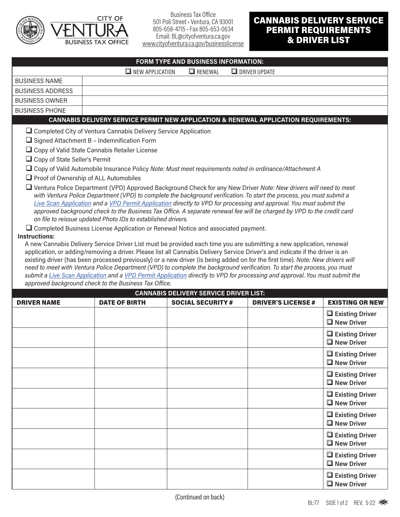

Business Tax Office 501 Poli Street • Ventura, CA 93001 805-658-4715 • Fax 805-653-0634 Email: BL@cityofventura.ca.gov www.cityofventura.ca.gov/businesslicense

## CANNABIS DELIVERY SERVICE PERMIT REQUIREMENTS & DRIVER LIST

| FORM TYPE AND BUSINESS INFORMATION:                                                                                                                                                                                                                                                                                                                                                                                                                                                                                                                                                                                                                                                                           |                        |                                                                          |                          |                                                             |  |  |  |
|---------------------------------------------------------------------------------------------------------------------------------------------------------------------------------------------------------------------------------------------------------------------------------------------------------------------------------------------------------------------------------------------------------------------------------------------------------------------------------------------------------------------------------------------------------------------------------------------------------------------------------------------------------------------------------------------------------------|------------------------|--------------------------------------------------------------------------|--------------------------|-------------------------------------------------------------|--|--|--|
|                                                                                                                                                                                                                                                                                                                                                                                                                                                                                                                                                                                                                                                                                                               | $\Box$ NEW APPLICATION | RENEWAL                                                                  | $\Box$ DRIVER UPDATE     |                                                             |  |  |  |
| <b>BUSINESS NAME</b>                                                                                                                                                                                                                                                                                                                                                                                                                                                                                                                                                                                                                                                                                          |                        |                                                                          |                          |                                                             |  |  |  |
| <b>BUSINESS ADDRESS</b>                                                                                                                                                                                                                                                                                                                                                                                                                                                                                                                                                                                                                                                                                       |                        |                                                                          |                          |                                                             |  |  |  |
| <b>BUSINESS OWNER</b>                                                                                                                                                                                                                                                                                                                                                                                                                                                                                                                                                                                                                                                                                         |                        |                                                                          |                          |                                                             |  |  |  |
| <b>BUSINESS PHONE</b>                                                                                                                                                                                                                                                                                                                                                                                                                                                                                                                                                                                                                                                                                         |                        |                                                                          |                          |                                                             |  |  |  |
| <b>CANNABIS DELIVERY SERVICE PERMIT NEW APPLICATION &amp; RENEWAL APPLICATION REQUIREMENTS:</b>                                                                                                                                                                                                                                                                                                                                                                                                                                                                                                                                                                                                               |                        |                                                                          |                          |                                                             |  |  |  |
| $\Box$ Completed City of Ventura Cannabis Delivery Service Application                                                                                                                                                                                                                                                                                                                                                                                                                                                                                                                                                                                                                                        |                        |                                                                          |                          |                                                             |  |  |  |
| $\Box$ Signed Attachment B - Indemnification Form                                                                                                                                                                                                                                                                                                                                                                                                                                                                                                                                                                                                                                                             |                        |                                                                          |                          |                                                             |  |  |  |
| $\Box$ Copy of Valid State Cannabis Retailer License                                                                                                                                                                                                                                                                                                                                                                                                                                                                                                                                                                                                                                                          |                        |                                                                          |                          |                                                             |  |  |  |
| $\Box$ Copy of State Seller's Permit                                                                                                                                                                                                                                                                                                                                                                                                                                                                                                                                                                                                                                                                          |                        |                                                                          |                          |                                                             |  |  |  |
| □ Copy of Valid Automobile Insurance Policy Note: Must meet requirements noted in ordinance/Attachment A                                                                                                                                                                                                                                                                                                                                                                                                                                                                                                                                                                                                      |                        |                                                                          |                          |                                                             |  |  |  |
| $\Box$ Proof of Ownership of ALL Automobiles                                                                                                                                                                                                                                                                                                                                                                                                                                                                                                                                                                                                                                                                  |                        |                                                                          |                          |                                                             |  |  |  |
| □ Ventura Police Department (VPD) Approved Background Check for any New Driver Note: New drivers will need to meet<br>with Ventura Police Department (VPD) to complete the background verification. To start the process, you must submit a<br>Live Scan Application and a VPD Permit Application directly to VPD for processing and approval. You must submit the<br>approved background check to the Business Tax Office. A separate renewal fee will be charged by VPD to the credit card<br>on file to reissue updated Photo IDs to established drivers.                                                                                                                                                  |                        |                                                                          |                          |                                                             |  |  |  |
| $\Box$ Completed Business License Application or Renewal Notice and associated payment.                                                                                                                                                                                                                                                                                                                                                                                                                                                                                                                                                                                                                       |                        |                                                                          |                          |                                                             |  |  |  |
| Instructions:                                                                                                                                                                                                                                                                                                                                                                                                                                                                                                                                                                                                                                                                                                 |                        |                                                                          |                          |                                                             |  |  |  |
| A new Cannabis Delivery Service Driver List must be provided each time you are submitting a new application, renewal<br>application, or adding/removing a driver. Please list all Cannabis Delivery Service Driver's and indicate if the driver is an<br>existing driver (has been processed previously) or a new driver (is being added on for the first time). Note: New drivers will<br>need to meet with Ventura Police Department (VPD) to complete the background verification. To start the process, you must<br>submit a Live Scan Application and a VPD Permit Application directly to VPD for processing and approval. You must submit the<br>approved background check to the Business Tax Office. |                        |                                                                          |                          |                                                             |  |  |  |
|                                                                                                                                                                                                                                                                                                                                                                                                                                                                                                                                                                                                                                                                                                               |                        |                                                                          |                          |                                                             |  |  |  |
| <b>DRIVER NAME</b>                                                                                                                                                                                                                                                                                                                                                                                                                                                                                                                                                                                                                                                                                            | <b>DATE OF BIRTH</b>   | <b>CANNABIS DELIVERY SERVICE DRIVER LIST:</b><br><b>SOCIAL SECURITY#</b> | <b>DRIVER'S LICENSE#</b> | <b>EXISTING OR NEW</b>                                      |  |  |  |
|                                                                                                                                                                                                                                                                                                                                                                                                                                                                                                                                                                                                                                                                                                               |                        |                                                                          |                          | $\Box$ Existing Driver<br>$\Box$ New Driver                 |  |  |  |
|                                                                                                                                                                                                                                                                                                                                                                                                                                                                                                                                                                                                                                                                                                               |                        |                                                                          |                          | $\Box$ Existing Driver<br>$\blacksquare$ New Driver         |  |  |  |
|                                                                                                                                                                                                                                                                                                                                                                                                                                                                                                                                                                                                                                                                                                               |                        |                                                                          |                          | Existing Driver<br>New Driver                               |  |  |  |
|                                                                                                                                                                                                                                                                                                                                                                                                                                                                                                                                                                                                                                                                                                               |                        |                                                                          |                          | Existing Driver<br>$\blacksquare$ New Driver                |  |  |  |
|                                                                                                                                                                                                                                                                                                                                                                                                                                                                                                                                                                                                                                                                                                               |                        |                                                                          |                          | $\blacksquare$ Existing Driver<br>$\blacksquare$ New Driver |  |  |  |
|                                                                                                                                                                                                                                                                                                                                                                                                                                                                                                                                                                                                                                                                                                               |                        |                                                                          |                          | $\blacksquare$ Existing Driver<br>$\blacksquare$ New Driver |  |  |  |
|                                                                                                                                                                                                                                                                                                                                                                                                                                                                                                                                                                                                                                                                                                               |                        |                                                                          |                          | $\blacksquare$ Existing Driver<br>$\blacksquare$ New Driver |  |  |  |
|                                                                                                                                                                                                                                                                                                                                                                                                                                                                                                                                                                                                                                                                                                               |                        |                                                                          |                          | $\blacksquare$ Existing Driver<br>New Driver                |  |  |  |
|                                                                                                                                                                                                                                                                                                                                                                                                                                                                                                                                                                                                                                                                                                               |                        |                                                                          |                          | $\blacksquare$ Existing Driver<br>$\blacksquare$ New Driver |  |  |  |